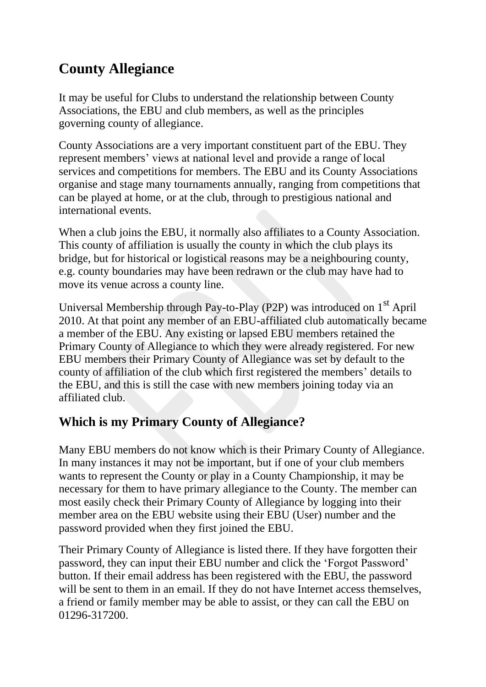# **County Allegiance**

It may be useful for Clubs to understand the relationship between County Associations, the EBU and club members, as well as the principles governing county of allegiance.

County Associations are a very important constituent part of the EBU. They represent members' views at national level and provide a range of local services and competitions for members. The EBU and its County Associations organise and stage many tournaments annually, ranging from competitions that can be played at home, or at the club, through to prestigious national and international events.

When a club joins the EBU, it normally also affiliates to a County Association. This county of affiliation is usually the county in which the club plays its bridge, but for historical or logistical reasons may be a neighbouring county, e.g. county boundaries may have been redrawn or the club may have had to move its venue across a county line.

Universal Membership through Pay-to-Play (P2P) was introduced on  $1<sup>st</sup>$  April 2010. At that point any member of an EBU-affiliated club automatically became a member of the EBU. Any existing or lapsed EBU members retained the Primary County of Allegiance to which they were already registered. For new EBU members their Primary County of Allegiance was set by default to the county of affiliation of the club which first registered the members' details to the EBU, and this is still the case with new members joining today via an affiliated club.

#### **Which is my Primary County of Allegiance?**

Many EBU members do not know which is their Primary County of Allegiance. In many instances it may not be important, but if one of your club members wants to represent the County or play in a County Championship, it may be necessary for them to have primary allegiance to the County. The member can most easily check their Primary County of Allegiance by logging into their member area on the EBU website using their EBU (User) number and the password provided when they first joined the EBU.

Their Primary County of Allegiance is listed there. If they have forgotten their password, they can input their EBU number and click the 'Forgot Password' button. If their email address has been registered with the EBU, the password will be sent to them in an email. If they do not have Internet access themselves, a friend or family member may be able to assist, or they can call the EBU on 01296-317200.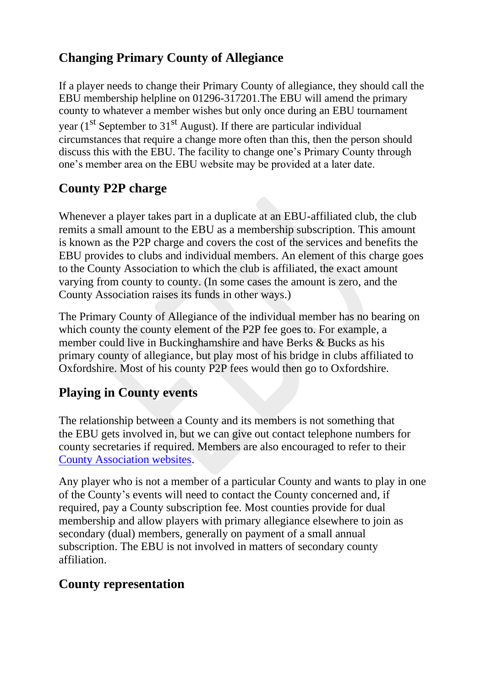## **Changing Primary County of Allegiance**

If a player needs to change their Primary County of allegiance, they should call the EBU membership helpline on 01296-317201.The EBU will amend the primary county to whatever a member wishes but only once during an EBU tournament year  $(1<sup>st</sup>$  September to  $31<sup>st</sup>$  August). If there are particular individual circumstances that require a change more often than this, then the person should discuss this with the EBU. The facility to change one's Primary County through one's member area on the EBU website may be provided at a later date.

### **County P2P charge**

Whenever a player takes part in a duplicate at an EBU-affiliated club, the club remits a small amount to the EBU as a membership subscription. This amount is known as the P2P charge and covers the cost of the services and benefits the EBU provides to clubs and individual members. An element of this charge goes to the County Association to which the club is affiliated, the exact amount varying from county to county. (In some cases the amount is zero, and the County Association raises its funds in other ways.)

The Primary County of Allegiance of the individual member has no bearing on which county the county element of the P2P fee goes to. For example, a member could live in Buckinghamshire and have Berks & Bucks as his primary county of allegiance, but play most of his bridge in clubs affiliated to Oxfordshire. Most of his county P2P fees would then go to Oxfordshire.

#### **Playing in County events**

The relationship between a County and its members is not something that the EBU gets involved in, but we can give out contact telephone numbers for county secretaries if required. Members are also encouraged to refer to their [County Association websites.](https://www.ebu.co.uk/directory/)

Any player who is not a member of a particular County and wants to play in one of the County's events will need to contact the County concerned and, if required, pay a County subscription fee. Most counties provide for dual membership and allow players with primary allegiance elsewhere to join as secondary (dual) members, generally on payment of a small annual subscription. The EBU is not involved in matters of secondary county affiliation.

#### **County representation**